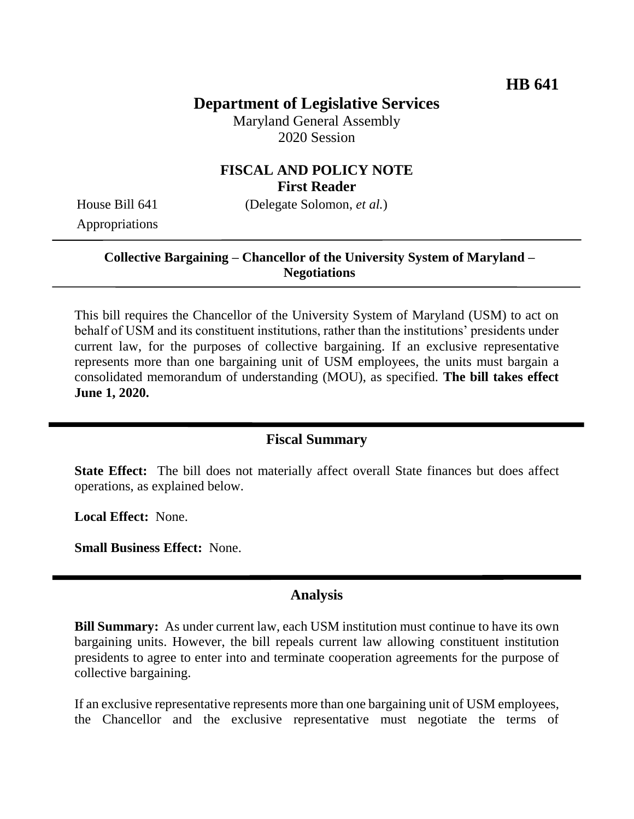# **Department of Legislative Services**

Maryland General Assembly 2020 Session

## **FISCAL AND POLICY NOTE First Reader**

Appropriations

House Bill 641 (Delegate Solomon, *et al.*)

### **Collective Bargaining – Chancellor of the University System of Maryland – Negotiations**

This bill requires the Chancellor of the University System of Maryland (USM) to act on behalf of USM and its constituent institutions, rather than the institutions' presidents under current law, for the purposes of collective bargaining. If an exclusive representative represents more than one bargaining unit of USM employees, the units must bargain a consolidated memorandum of understanding (MOU), as specified. **The bill takes effect June 1, 2020.**

### **Fiscal Summary**

**State Effect:** The bill does not materially affect overall State finances but does affect operations, as explained below.

**Local Effect:** None.

**Small Business Effect:** None.

#### **Analysis**

**Bill Summary:** As under current law, each USM institution must continue to have its own bargaining units. However, the bill repeals current law allowing constituent institution presidents to agree to enter into and terminate cooperation agreements for the purpose of collective bargaining.

If an exclusive representative represents more than one bargaining unit of USM employees, the Chancellor and the exclusive representative must negotiate the terms of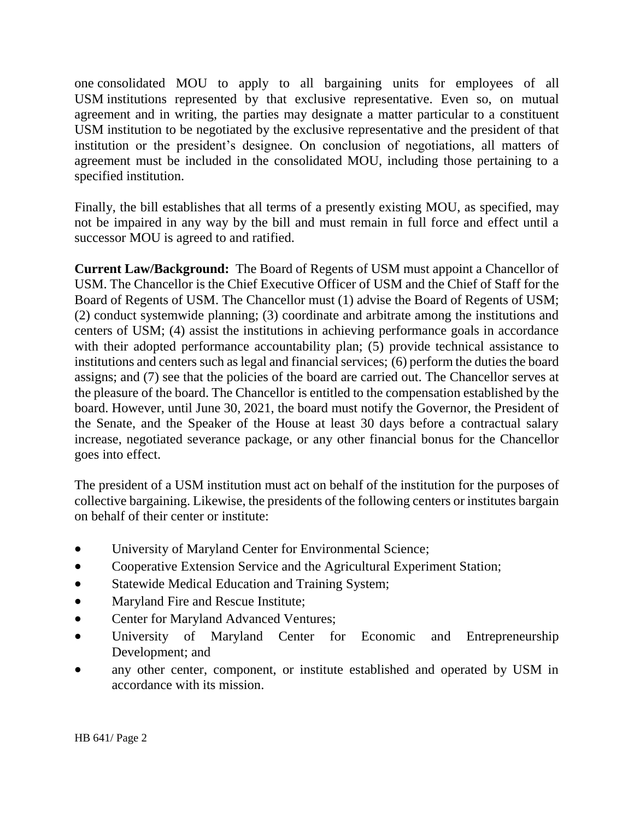one consolidated MOU to apply to all bargaining units for employees of all USM institutions represented by that exclusive representative. Even so, on mutual agreement and in writing, the parties may designate a matter particular to a constituent USM institution to be negotiated by the exclusive representative and the president of that institution or the president's designee. On conclusion of negotiations, all matters of agreement must be included in the consolidated MOU, including those pertaining to a specified institution.

Finally, the bill establishes that all terms of a presently existing MOU, as specified, may not be impaired in any way by the bill and must remain in full force and effect until a successor MOU is agreed to and ratified.

**Current Law/Background:** The Board of Regents of USM must appoint a Chancellor of USM. The Chancellor is the Chief Executive Officer of USM and the Chief of Staff for the Board of Regents of USM. The Chancellor must (1) advise the Board of Regents of USM; (2) conduct systemwide planning; (3) coordinate and arbitrate among the institutions and centers of USM; (4) assist the institutions in achieving performance goals in accordance with their adopted performance accountability plan; (5) provide technical assistance to institutions and centers such as legal and financial services; (6) perform the duties the board assigns; and (7) see that the policies of the board are carried out. The Chancellor serves at the pleasure of the board. The Chancellor is entitled to the compensation established by the board. However, until June 30, 2021, the board must notify the Governor, the President of the Senate, and the Speaker of the House at least 30 days before a contractual salary increase, negotiated severance package, or any other financial bonus for the Chancellor goes into effect.

The president of a USM institution must act on behalf of the institution for the purposes of collective bargaining. Likewise, the presidents of the following centers or institutes bargain on behalf of their center or institute:

- University of Maryland Center for Environmental Science;
- Cooperative Extension Service and the Agricultural Experiment Station;
- Statewide Medical Education and Training System;
- Maryland Fire and Rescue Institute;
- Center for Maryland Advanced Ventures;
- University of Maryland Center for Economic and Entrepreneurship Development; and
- any other center, component, or institute established and operated by USM in accordance with its mission.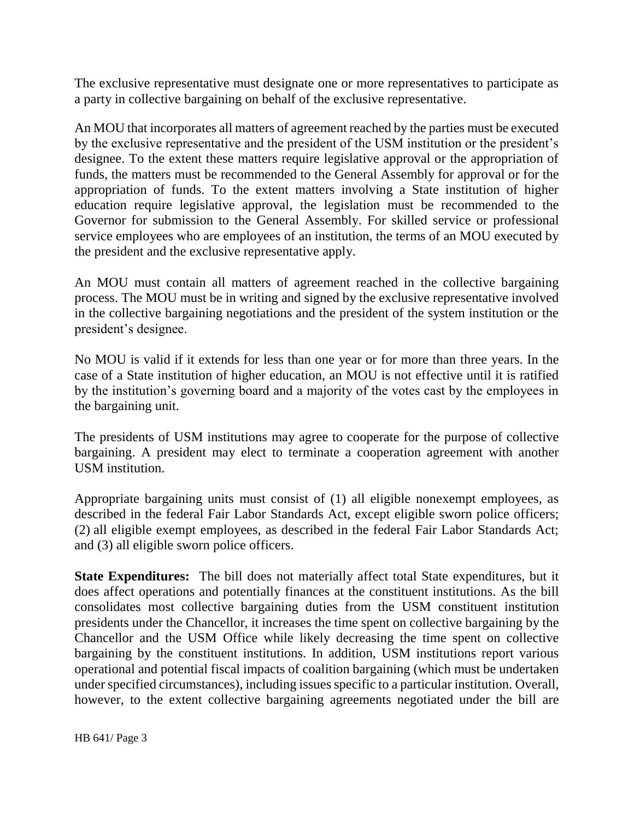The exclusive representative must designate one or more representatives to participate as a party in collective bargaining on behalf of the exclusive representative.

An MOU that incorporates all matters of agreement reached by the parties must be executed by the exclusive representative and the president of the USM institution or the president's designee. To the extent these matters require legislative approval or the appropriation of funds, the matters must be recommended to the General Assembly for approval or for the appropriation of funds. To the extent matters involving a State institution of higher education require legislative approval, the legislation must be recommended to the Governor for submission to the General Assembly. For skilled service or professional service employees who are employees of an institution, the terms of an MOU executed by the president and the exclusive representative apply.

An MOU must contain all matters of agreement reached in the collective bargaining process. The MOU must be in writing and signed by the exclusive representative involved in the collective bargaining negotiations and the president of the system institution or the president's designee.

No MOU is valid if it extends for less than one year or for more than three years. In the case of a State institution of higher education, an MOU is not effective until it is ratified by the institution's governing board and a majority of the votes cast by the employees in the bargaining unit.

The presidents of USM institutions may agree to cooperate for the purpose of collective bargaining. A president may elect to terminate a cooperation agreement with another USM institution.

Appropriate bargaining units must consist of (1) all eligible nonexempt employees, as described in the federal Fair Labor Standards Act, except eligible sworn police officers; (2) all eligible exempt employees, as described in the federal Fair Labor Standards Act; and (3) all eligible sworn police officers.

**State Expenditures:** The bill does not materially affect total State expenditures, but it does affect operations and potentially finances at the constituent institutions. As the bill consolidates most collective bargaining duties from the USM constituent institution presidents under the Chancellor, it increases the time spent on collective bargaining by the Chancellor and the USM Office while likely decreasing the time spent on collective bargaining by the constituent institutions. In addition, USM institutions report various operational and potential fiscal impacts of coalition bargaining (which must be undertaken under specified circumstances), including issues specific to a particular institution. Overall, however, to the extent collective bargaining agreements negotiated under the bill are